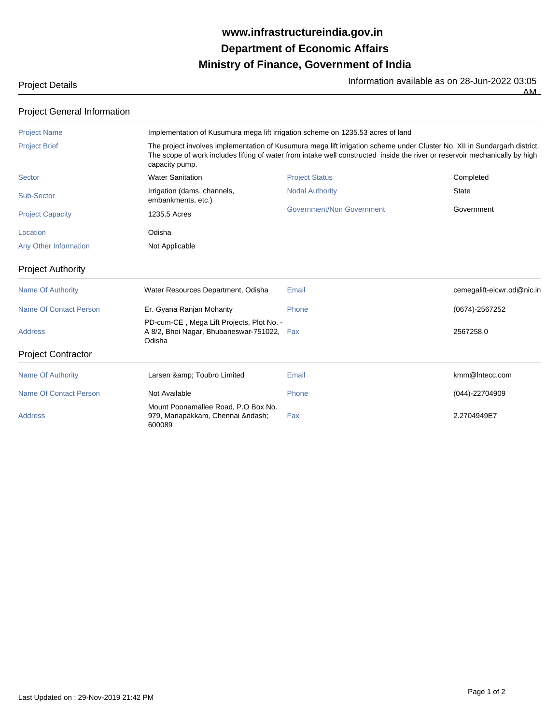## **Ministry of Finance, Government of India Department of Economic Affairs www.infrastructureindia.gov.in**

| Project Details |  |  |
|-----------------|--|--|
|-----------------|--|--|

## Project Details Information available as on 28-Jun-2022 03:05 AM

| <b>Project Name</b>       | Implementation of Kusumura mega lift irrigation scheme on 1235.53 acres of land                   |                                                                                                                                                                                                                                                          |                            |  |  |
|---------------------------|---------------------------------------------------------------------------------------------------|----------------------------------------------------------------------------------------------------------------------------------------------------------------------------------------------------------------------------------------------------------|----------------------------|--|--|
| <b>Project Brief</b>      | capacity pump.                                                                                    | The project involves implementation of Kusumura mega lift irrigation scheme under Cluster No. XII in Sundargarh district.<br>The scope of work includes lifting of water from intake well constructed inside the river or reservoir mechanically by high |                            |  |  |
| Sector                    | <b>Water Sanitation</b>                                                                           | <b>Project Status</b>                                                                                                                                                                                                                                    | Completed                  |  |  |
| Sub-Sector                | Irrigation (dams, channels,<br>embankments, etc.)                                                 | <b>Nodal Authority</b>                                                                                                                                                                                                                                   | <b>State</b>               |  |  |
| <b>Project Capacity</b>   | 1235.5 Acres                                                                                      | Government/Non Government                                                                                                                                                                                                                                | Government                 |  |  |
| Location                  | Odisha                                                                                            |                                                                                                                                                                                                                                                          |                            |  |  |
| Any Other Information     | Not Applicable                                                                                    |                                                                                                                                                                                                                                                          |                            |  |  |
| <b>Project Authority</b>  |                                                                                                   |                                                                                                                                                                                                                                                          |                            |  |  |
| <b>Name Of Authority</b>  | Water Resources Department, Odisha                                                                | Email                                                                                                                                                                                                                                                    | cemegalift-eicwr.od@nic.in |  |  |
| Name Of Contact Person    | Er. Gyana Ranjan Mohanty                                                                          | Phone                                                                                                                                                                                                                                                    | $(0674) - 2567252$         |  |  |
| <b>Address</b>            | PD-cum-CE, Mega Lift Projects, Plot No. -<br>A 8/2, Bhoi Nagar, Bhubaneswar-751022, Fax<br>Odisha |                                                                                                                                                                                                                                                          | 2567258.0                  |  |  |
| <b>Project Contractor</b> |                                                                                                   |                                                                                                                                                                                                                                                          |                            |  |  |
| <b>Name Of Authority</b>  | Larsen & Toubro Limited                                                                           | Email                                                                                                                                                                                                                                                    | kmm@Intecc.com             |  |  |
| Name Of Contact Person    | Not Available                                                                                     | Phone                                                                                                                                                                                                                                                    | (044)-22704909             |  |  |
| <b>Address</b>            | Mount Poonamallee Road, P.O Box No.<br>979, Manapakkam, Chennai –<br>600089                       | Fax                                                                                                                                                                                                                                                      | 2.2704949E7                |  |  |